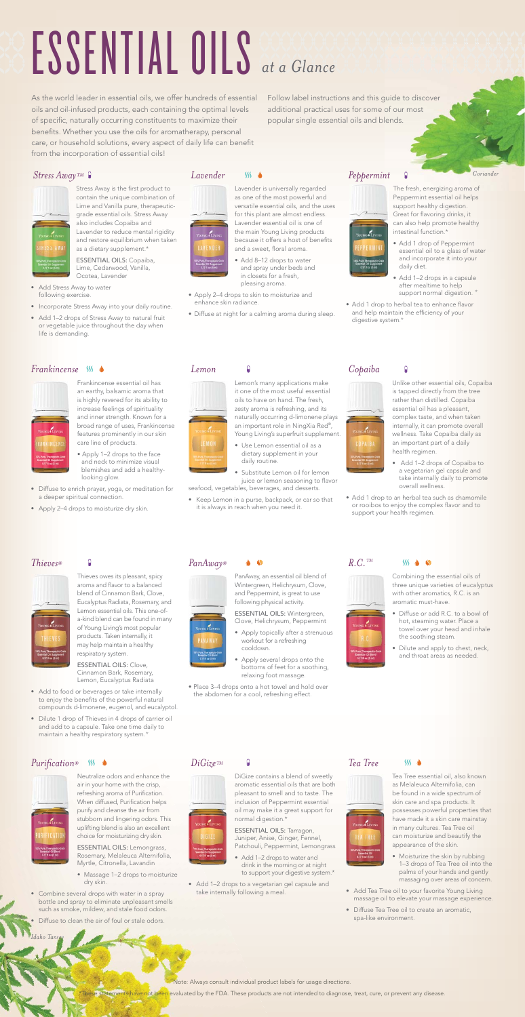### *Coriander*

*Idaho Tansey*



### *PanAway®*



PanAway, an essential oil blend of Wintergreen, Helichrysum, Clove, and Peppermint, is great to use following physical activity. ESSENTIAL OILS: Wintergreen,

- Apply several drops onto the bottoms of feet for a soothing, relaxing foot massage.
- Place 3–4 drops onto a hot towel and hold over the abdomen for a cool, refreshing effect.

Clove, Helichrysum, Peppermint Apply topically after a strenuous workout for a refreshing cooldown.

Stress Away is the first product to contain the unique combination of Lime and Vanilla pure, therapeuticgrade essential oils. Stress Away also includes Copaiba and Lavender to reduce mental rigidity and restore equilibrium when taken as a dietary supplement.\*

### *Stress Away™*



- Add Stress Away to water following exercise.
- Incorporate Stress Away into your daily routine.
- Add 1-2 drops of Stress Away to natural fruit or vegetable juice throughout the day when life is demanding.

### *Lavender*  $SS$   $\triangle$



ESSENTIAL OILS: Copaiba, Lime, Cedarwood, Vanilla, Ocotea, Lavender

### Lavender is universally regarded as one of the most powerful and versatile essential oils, and the uses for this plant are almost endless. Lavender essential oil is one of the main Young Living products because it offers a host of benefits

- and a sweet, floral aroma. • Add 8–12 drops to water and spray under beds and in closets for a fresh, pleasing aroma.
- Apply 2–4 drops to skin to moisturize and enhance skin radiance.
- Diffuse at night for a calming aroma during sleep.

As the world leader in essential oils, we offer hundreds of essential oils and oil-infused products, each containing the optimal levels of specific, naturally occurring constituents to maximize their benefits. Whether you use the oils for aromatherapy, personal care, or household solutions, every aspect of daily life can benefit from the incorporation of essential oils!

Follow label instructions and this guide to discover additional practical uses for some of our most popular single essential oils and blends.

# ESSENTIAL OILS *at a Glance*

# *Peppermint*



The fresh, energizing aroma of Peppermint essential oil helps support healthy digestion. Great for flavoring drinks, it can also help promote healthy intestinal function.\*

### *Frankincense*



Frankincense essential oil has an earthy, balsamic aroma that is highly revered for its ability to increase feelings of spirituality and inner strength. Known for a broad range of uses, Frankincense features prominently in our skin care line of products.

- Massage 1–2 drops to moisturize dry skin.
- Combine several drops with water in a spray bottle and spray to eliminate unpleasant smells such as smoke, mildew, and stale food odors.
- Diffuse to clean the air of foul or stale odors
- Apply 1–2 drops to the face and neck to minimize visual blemishes and add a healthy looking glow.
- Diffuse to enrich prayer, yoga, or meditation for a deeper spiritual connection.
- Apply 2–4 drops to moisturize dry skin.



*Lemon*

Lemon's many applications make

- Add 1-2 drops to water and drink in the morning or at night to support your digestive system.\*
- Add 1–2 drops to a vegetarian gel capsule and take internally following a meal.



it one of the most useful essential oils to have on hand. The fresh, zesty aroma is refreshing, and its naturally occurring d-limonene plays an important role in NingXia Red®, Young Living's superfruit supplement.

• Use Lemon essential oil as a dietary supplement in your daily routine.

Substitute Lemon oil for lemon juice or lemon seasoning to flavor

seafood, vegetables, beverages, and desserts.

• Keep Lemon in a purse, backpack, or car so that it is always in reach when you need it.

 $\bullet$  S

### *Copaiba*



Unlike other essential oils, Copaiba is tapped directly from the tree rather than distilled. Copaiba essential oil has a pleasant, complex taste, and when taken internally, it can promote overall wellness. Take Copaiba daily as an important part of a daily health regimen.

- Add 1–2 drops of Copaiba to a vegetarian gel capsule and take internally daily to promote overall wellness.
- Add 1 drop to an herbal tea such as chamomile or rooibos to enjoy the complex flavor and to support your health regimen.

### *Thieves®*



Thieves owes its pleasant, spicy aroma and flavor to a balanced blend of Cinnamon Bark, Clove, Eucalyptus Radiata, Rosemary, and Lemon essential oils. This one-ofa-kind blend can be found in many of Young Living's most popular products. Taken internally, it may help maintain a healthy respiratory system.

ESSENTIAL OILS: Clove, Cinnamon Bark, Rosemary, Lemon, Eucalyptus Radiata

- Add 1 drop of Peppermint essential oil to a glass of water and incorporate it into your daily diet.
- Add 1–2 drops in a capsule after mealtime to help support normal digestion. \*
- Add 1 drop to herbal tea to enhance flavor and help maintain the efficiency of your digestive system. \*





Combining the essential oils of three unique varieties of eucalyptus with other aromatics, R.C. is an aromatic must-have.

- Diffuse or add R.C. to a bowl of hot, steaming water. Place a towel over your head and inhale the soothing steam.
- Dilute and apply to chest, neck, and throat areas as needed.

*Purification® SS* ♦

Neutralize odors and enhance the air in your home with the crisp, refreshing aroma of Purification. When diffused, Purification helps purify and cleanse the air from stubborn and lingering odors. This uplifting blend is also an excellent choice for moisturizing dry skin.

ESSENTIAL OILS: Lemongrass, Rosemary, Melaleuca Alternifolia, Myrtle, Citronella, Lavandin

- Add to food or beverages or take internally to enjoy the benefits of the powerful natural compounds d-limonene, eugenol, and eucalyptol.
- Dilute 1 drop of Thieves in 4 drops of carrier oil and add to a capsule. Take one time daily to maintain a healthy respiratory system. \*

*DiGize™*

Ĥ

DiGize contains a blend of sweetly aromatic essential oils that are both pleasant to smell and to taste. The inclusion of Peppermint essential oil may make it a great support for normal digestion.\*

ESSENTIAL OILS: Tarragon, Juniper, Anise, Ginger, Fennel, Patchouli, Peppermint, Lemongrass

*Tea Tree*



Tea Tree essential oil, also known as Melaleuca Alternifolia, can be found in a wide spectrum of skin care and spa products. It possesses powerful properties that have made it a skin care mainstay in many cultures. Tea Tree oil can moisturize and beautify the appearance of the skin.

- Moisturize the skin by rubbing 1–3 drops of Tea Tree oil into the palms of your hands and gently massaging over areas of concern.
- Add Tea Tree oil to your favorite Young Living massage oil to elevate your massage experience.
- Diffuse Tea Tree oil to create an aromatic, spa-like environment.

Note: Always consult individual product labels for usage directions.

ements have not been evaluated by the FDA. These products are not intended to diagnose, treat, cure, or prevent any disease.